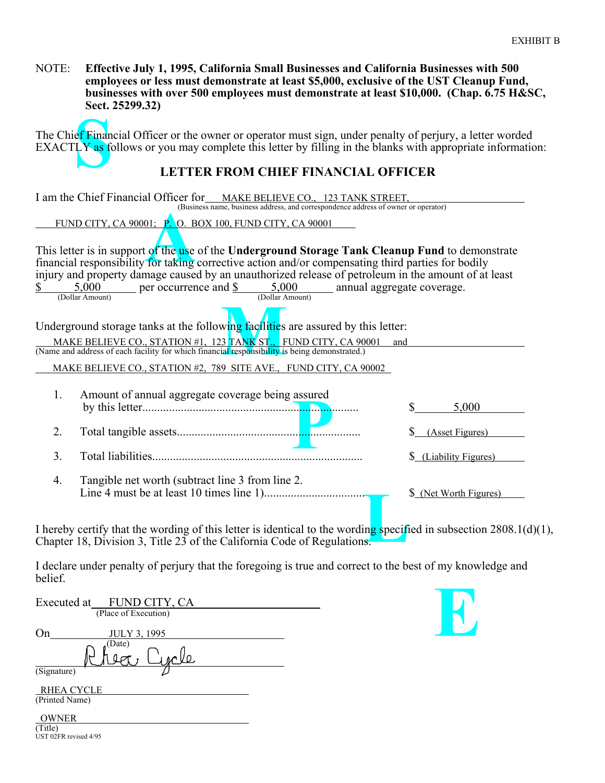NOTE: **Effective July 1, 1995, California Small Businesses and California Businesses with 500 employees or less must demonstrate at least \$5,000, exclusive of the UST Cleanup Fund, businesses with over 500 employees must demonstrate at least \$10,000. (Chap. 6.75 H&SC, Sect. 25299.32)**

ef Finan<br>LY as fo The Chief Financial Officer or the owner or operator must sign, under penalty of perjury, a letter worded EXACTLY as follows or you may complete this letter by filling in the blanks with appropriate information:

## **LETTER FROM CHIEF FINANCIAL OFFICER**

| I am the Chief Financial Officer for MAKE BELIEVE CO., 123 TANK STREET,<br>(Business name, business address, and correspondence address of owner or operator)                                                                                                                                                 |                                                   |                        |  |  |
|---------------------------------------------------------------------------------------------------------------------------------------------------------------------------------------------------------------------------------------------------------------------------------------------------------------|---------------------------------------------------|------------------------|--|--|
| FUND CITY, CA 90001; P. O. BOX 100, FUND CITY, CA 90001                                                                                                                                                                                                                                                       |                                                   |                        |  |  |
| This letter is in support of the use of the Underground Storage Tank Cleanup Fund to demonstrate<br>financial responsibility for taking corrective action and/or compensating third parties for bodily<br>injury and property damage caused by an unauthorized release of petroleum in the amount of at least |                                                   |                        |  |  |
| $\frac{5,000}{\text{(Dollar Amount)}}$ per occurrence and $\frac{\$}{\$}$ 5,000 annual aggregate coverage.                                                                                                                                                                                                    |                                                   |                        |  |  |
| Underground storage tanks at the following facilities are assured by this letter:<br>MAKE BELIEVE CO., STATION #1, 123 TANK ST., FUND CITY, CA 90001<br>and<br>(Name and address of each facility for which financial responsibility is being demonstrated.)                                                  |                                                   |                        |  |  |
| MAKE BELIEVE CO., STATION #2, 789 SITE AVE., FUND CITY, CA 90002                                                                                                                                                                                                                                              |                                                   |                        |  |  |
| 1.                                                                                                                                                                                                                                                                                                            | Amount of annual aggregate coverage being assured | 5,000                  |  |  |
| 2.                                                                                                                                                                                                                                                                                                            |                                                   | (Asset Figures)        |  |  |
| 3 <sub>1</sub>                                                                                                                                                                                                                                                                                                |                                                   | \$ (Liability Figures) |  |  |
| 4.                                                                                                                                                                                                                                                                                                            | Tangible net worth (subtract line 3 from line 2.  | \$ (Net Worth Figures) |  |  |

**Letter**<br> **Letter**<br> **Letter**<br> **Letter**<br> **Letter**<br> **Letter**<br> **Letter**<br> **Letter**<br> **Letter** I hereby certify that the wording of this letter is identical to the wording specified in subsection  $2808.1(d)(1)$ , Chapter 18, Division 3, Title 23 of the California Code of Regulations.

I declare under penalty of perjury that the foregoing is true and correct to the best of my knowledge and belief.

| Executed at FUND CITY, CA       |  |  |  |  |
|---------------------------------|--|--|--|--|
| (Place of Execution)            |  |  |  |  |
| <b>JULY 3, 1995</b>             |  |  |  |  |
| (Date)                          |  |  |  |  |
| $\overline{\text{(Signature)}}$ |  |  |  |  |
| RHEA CYCLE<br>(Printed Name)    |  |  |  |  |
| $\bigcap$                       |  |  |  |  |



 OWNER (Title) UST 02FR revised 4/95